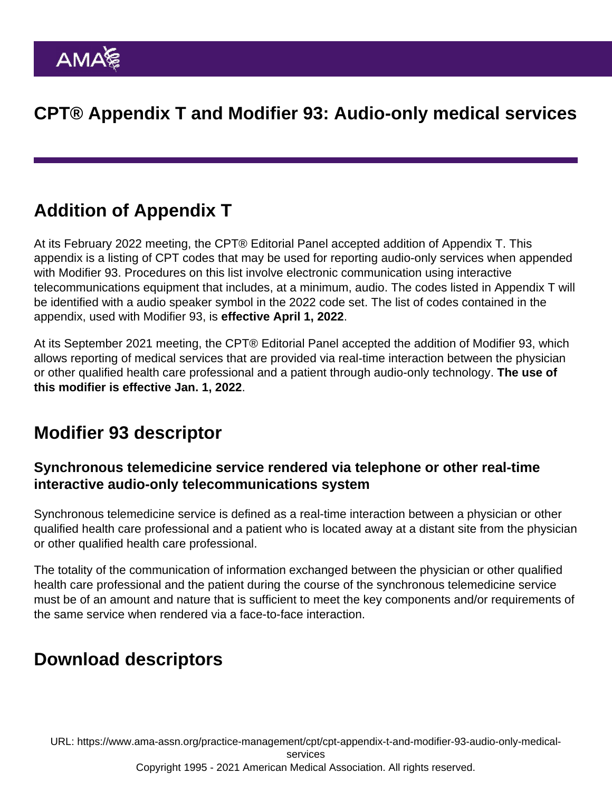# CPT® Appendix T and Modifier 93: Audio-only medical services

## Addition of Appendix T

At its February 2022 meeting, the CPT® Editorial Panel accepted addition of Appendix T. This appendix is a listing of CPT codes that may be used for reporting audio-only services when appended with Modifier 93. Procedures on this list involve electronic communication using interactive telecommunications equipment that includes, at a minimum, audio. The codes listed in Appendix T will be identified with a audio speaker symbol in the 2022 code set. The list of codes contained in the appendix, used with Modifier 93, is effective April 1, 2022 .

At its September 2021 meeting, the CPT® Editorial Panel accepted the addition of Modifier 93, which allows reporting of medical services that are provided via real-time interaction between the physician or other qualified health care professional and a patient through audio-only technology. The use of this modifier is effective Jan. 1, 2022 .

### Modifier 93 descriptor

Synchronous telemedicine service rendered via telephone or other real-time interactive audio-only telecommunications system

Synchronous telemedicine service is defined as a real-time interaction between a physician or other qualified health care professional and a patient who is located away at a distant site from the physician or other qualified health care professional.

The totality of the communication of information exchanged between the physician or other qualified health care professional and the patient during the course of the synchronous telemedicine service must be of an amount and nature that is sufficient to meet the key components and/or requirements of the same service when rendered via a face-to-face interaction.

# Download descriptors

URL: [https://www.ama-assn.org/practice-management/cpt/cpt-appendix-t-and-modifier-93-audio-only-medical](https://www.ama-assn.org/practice-management/cpt/cpt-appendix-t-and-modifier-93-audio-only-medical-services)[services](https://www.ama-assn.org/practice-management/cpt/cpt-appendix-t-and-modifier-93-audio-only-medical-services)

#### Copyright 1995 - 2021 American Medical Association. All rights reserved.